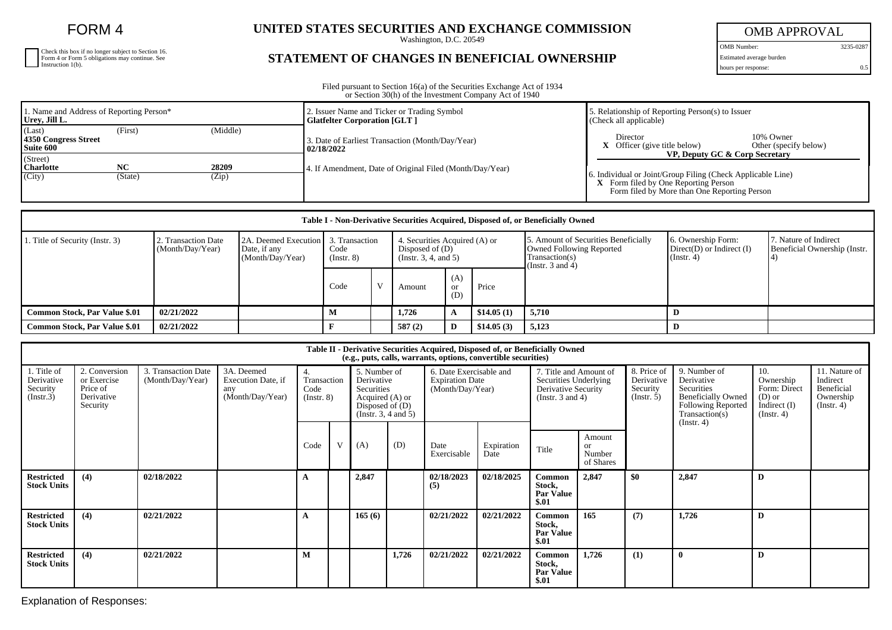FORM 4

| Check this box if no longer subject to Section 16.<br>Form 4 or Form 5 obligations may continue. See<br>Instruction 1(b). |
|---------------------------------------------------------------------------------------------------------------------------|
|                                                                                                                           |
|                                                                                                                           |

## **UNITED STATES SECURITIES AND EXCHANGE COMMISSION**

Washington, D.C. 20549

## **STATEMENT OF CHANGES IN BENEFICIAL OWNERSHIP**

OMB APPROVAL

OMB Number: 3235-0287 Estimated average burden hours per response: 0.5

Filed pursuant to Section 16(a) of the Securities Exchange Act of 1934 or Section 30(h) of the Investment Company Act of 1940

| 1. Name and Address of Reporting Person*<br>Urey, Jill L.      |                | 2. Issuer Name and Ticker or Trading Symbol<br><b>Glatfelter Corporation [GLT ]</b> | 5. Relationship of Reporting Person(s) to Issuer<br>(Check all applicable)                                                                                                                   |  |  |  |
|----------------------------------------------------------------|----------------|-------------------------------------------------------------------------------------|----------------------------------------------------------------------------------------------------------------------------------------------------------------------------------------------|--|--|--|
| (Last)<br>(First)<br>4350 Congress Street<br>Suite 600         | (Middle)       | 3. Date of Earliest Transaction (Month/Day/Year)<br>02/18/2022                      | Director<br>10% Owner<br>$X$ Officer (give title below)<br>Other (specify below)                                                                                                             |  |  |  |
| (Street)<br><b>NC</b><br><b>Charlotte</b><br>(City)<br>(State) | 28209<br>(Zip) | 4. If Amendment, Date of Original Filed (Month/Day/Year)                            | VP, Deputy GC & Corp Secretary<br>6. Individual or Joint/Group Filing (Check Applicable Line)<br><b>X</b> Form filed by One Reporting Person<br>Form filed by More than One Reporting Person |  |  |  |

| Table I - Non-Derivative Securities Acquired, Disposed of, or Beneficially Owned |                                         |                                                          |                                       |                                                                             |        |                         |                                                                                                                    |                                                                   |                                                       |  |  |
|----------------------------------------------------------------------------------|-----------------------------------------|----------------------------------------------------------|---------------------------------------|-----------------------------------------------------------------------------|--------|-------------------------|--------------------------------------------------------------------------------------------------------------------|-------------------------------------------------------------------|-------------------------------------------------------|--|--|
| . Title of Security (Instr. 3)                                                   | 2. Transaction Date<br>(Month/Day/Year) | 2A. Deemed Execution<br>Date, if any<br>(Month/Day/Year) | 3. Transaction<br>Code<br>(Insert. 8) | 4. Securities Acquired (A) or<br>Disposed of $(D)$<br>(Insert. 3, 4, and 5) |        |                         | 5. Amount of Securities Beneficially<br><b>Owned Following Reported</b><br>Transaction(s)<br>(Instr. $3$ and $4$ ) | 6. Ownership Form:<br>$Direct(D)$ or Indirect $(I)$<br>(Instr. 4) | 7. Nature of Indirect<br>Beneficial Ownership (Instr. |  |  |
|                                                                                  |                                         |                                                          | Code                                  |                                                                             | Amount | (A)<br><b>or</b><br>(D) | Price                                                                                                              |                                                                   |                                                       |  |  |
| <b>Common Stock, Par Value \$.01</b>                                             | 02/21/2022                              |                                                          | м                                     |                                                                             | 1.726  | A                       | \$14.05(1)                                                                                                         | 5.710                                                             |                                                       |  |  |
| <b>Common Stock, Par Value \$.01</b>                                             | 02/21/2022                              |                                                          |                                       |                                                                             | 587(2) | D                       | \$14.05(3)                                                                                                         | 5,123                                                             |                                                       |  |  |

| Table II - Derivative Securities Acquired, Disposed of, or Beneficially Owned<br>(e.g., puts, calls, warrants, options, convertible securities) |                                                                    |                                         |                                                             |                                              |                                                                                                         |        |       |                                                                       |                    |                                                                                                 |                                     |                                                      |                                                                                                                                                 |                                                                               |                                                                          |
|-------------------------------------------------------------------------------------------------------------------------------------------------|--------------------------------------------------------------------|-----------------------------------------|-------------------------------------------------------------|----------------------------------------------|---------------------------------------------------------------------------------------------------------|--------|-------|-----------------------------------------------------------------------|--------------------|-------------------------------------------------------------------------------------------------|-------------------------------------|------------------------------------------------------|-------------------------------------------------------------------------------------------------------------------------------------------------|-------------------------------------------------------------------------------|--------------------------------------------------------------------------|
| 1. Title of<br>Derivative<br>Security<br>(Insert.3)                                                                                             | 2. Conversion<br>or Exercise<br>Price of<br>Derivative<br>Security | 3. Transaction Date<br>(Month/Day/Year) | 3A. Deemed<br>Execution Date, if<br>any<br>(Month/Day/Year) | 4.<br>Transaction<br>Code<br>$($ Instr. $8)$ | 5. Number of<br>Derivative<br>Securities<br>Acquired (A) or<br>Disposed of $(D)$<br>(Instr. 3, 4 and 5) |        |       | 6. Date Exercisable and<br><b>Expiration Date</b><br>(Month/Day/Year) |                    | 7. Title and Amount of<br>Securities Underlying<br>Derivative Security<br>(Instr. $3$ and $4$ ) |                                     | 8. Price of<br>Derivative<br>Security<br>(Insert. 5) | 9. Number of<br>Derivative<br><b>Securities</b><br><b>Beneficially Owned</b><br><b>Following Reported</b><br>Transaction(s)<br>$($ Instr. 4 $)$ | 10.<br>Ownership<br>Form: Direct<br>$(D)$ or<br>Indirect $(I)$<br>(Insert, 4) | 11. Nature of<br>Indirect<br>Beneficial<br>Ownership<br>$($ Instr. 4 $)$ |
|                                                                                                                                                 |                                                                    |                                         |                                                             | Code                                         | V                                                                                                       | (A)    | (D)   | Date<br>Exercisable                                                   | Expiration<br>Date | Title                                                                                           | Amount<br>or<br>Number<br>of Shares |                                                      |                                                                                                                                                 |                                                                               |                                                                          |
| <b>Restricted</b><br><b>Stock Units</b>                                                                                                         | (4)                                                                | 02/18/2022                              |                                                             | A                                            |                                                                                                         | 2,847  |       | 02/18/2023<br>(5)                                                     | 02/18/2025         | Common<br>Stock,<br><b>Par Value</b><br>\$.01                                                   | 2,847                               | \$0                                                  | 2,847                                                                                                                                           | D                                                                             |                                                                          |
| <b>Restricted</b><br><b>Stock Units</b>                                                                                                         | (4)                                                                | 02/21/2022                              |                                                             | A                                            |                                                                                                         | 165(6) |       | 02/21/2022                                                            | 02/21/2022         | <b>Common</b><br>Stock,<br><b>Par Value</b><br>\$.01                                            | 165                                 | (7)                                                  | 1,726                                                                                                                                           | D                                                                             |                                                                          |
| <b>Restricted</b><br><b>Stock Units</b>                                                                                                         | (4)                                                                | 02/21/2022                              |                                                             | M                                            |                                                                                                         |        | 1,726 | 02/21/2022                                                            | 02/21/2022         | Common<br>Stock,<br><b>Par Value</b><br>\$.01                                                   | 1,726                               | (1)                                                  | $\mathbf{0}$                                                                                                                                    | D                                                                             |                                                                          |

Explanation of Responses: